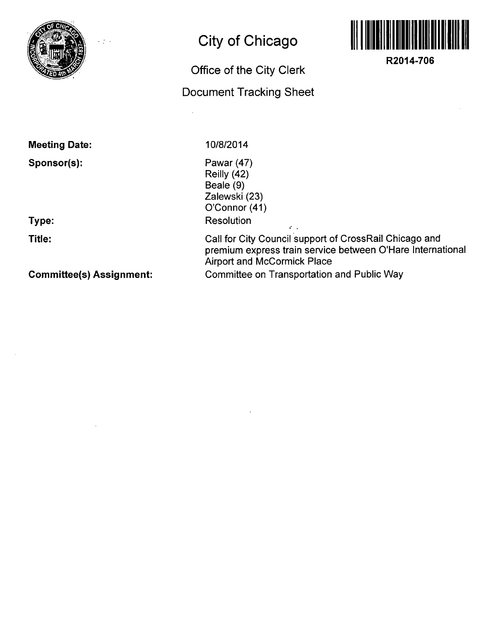

L.

# **City of Chicago**

## **Office of the City Clerk**

### **Document Tracking Sheet**



**R2014-706** 

**Meeting Date:** 

**Sponsor(s):** 

**Type:** 

**Title:** 

**Committee(s) Assignment:** 

**10/8/2014** 

Pawar (47) Reilly (42) Beale (9) Zalewski (23) O'Connor (41) Resolution

Call for City Council support of CrossRail Chicago and premium express train service between O'Hare International Airport and McCormick Place Committee on Transportation and Public Way

 $\mathcal{L}$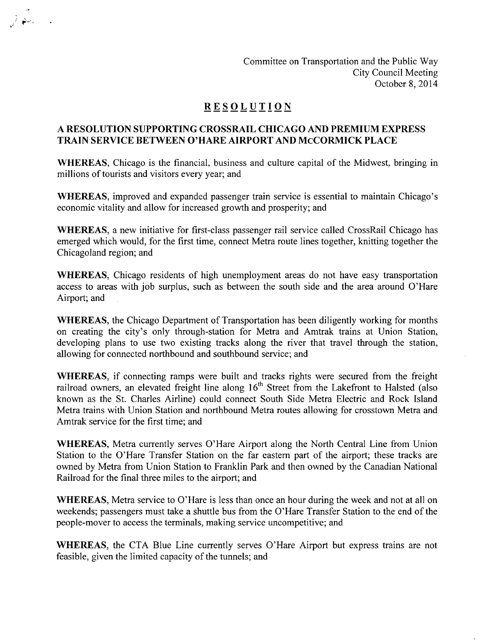Committee on Transportation and the Public Way City Council Meeting October 8, 2014

#### **RESOLUTIO N**

#### **A RESOLUTION SUPPORTING CROSSRAIL CHICAGO AND PREMIUM EXPRESS TRAIN SERVICE BETWEEN O'HARE AIRPORT AND McCORMICK PLACE**

WHEREAS, Chicago is the financial, business and culture capital of the Midwest, bringing in millions of tourists and visitors every year; and

WHEREAS, improved and expanded passenger train service is essential to maintain Chicago's economic vitality and allow for increased growth and prosperity; and

WHEREAS, a new initiative for first-class passenger rail service called CrossRail Chicago has emerged which would, for the first time, connect Metra route lines together, knitting together the Chicagoland region; and

WHEREAS, Chicago residents of high unemployment areas do not have easy transportation access to areas with job surplus, such as between the south side and the area around O'Hare Airport; and

WHEREAS, the Chicago Department of Transportation has been diligently working for months on creating the city's only through-station for Metra and Amtrak trains at Union Station, developing plans to use two existing tracks along the river that travel through the station, allowing for connected northbound and southbound service; and

WHEREAS, if connecting ramps were built and tracks rights were secured from the freight railroad owners, an elevated freight line along 16<sup>th</sup> Street from the Lakefront to Halsted (also known as the St. Charles Airline) could connect South Side Metra Electric and Rock Island Metra trains with Union Station and northbound Metra routes allowing for crosstown Metra and Amtrak service for the first time; and

WHEREAS, Metra currently serves O'Hare Airport along the North Central Line from Union Station to the O'Hare Transfer Station on the far eastern part of the airport; these tracks are owned by Metra from Union Station to Franklin Park and then owned by the Canadian National Railroad for the final three miles to the airport; and

WHEREAS, Metra service to O'Hare is less than once an hour during the week and not at all on weekends; passengers must take a shuttle bus from the O'Hare Transfer Station to the end of the people-mover to access the terminals, making service uncompetitive; and

WHEREAS, the CTA Blue Line currently serves O'Hare Airport but express trains are not feasible, given the limited capacity of the tunnels; and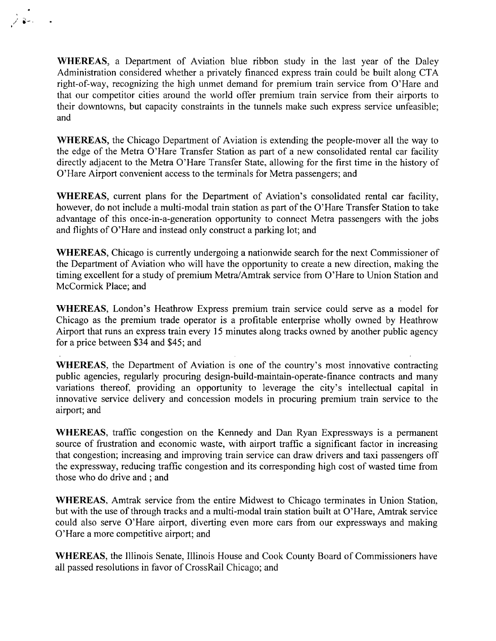WHEREAS, a Department of Aviation blue ribbon study in the last year of the Daley Administration considered whether a privately financed express train could be built along CTA right-of-way, recognizing the high unmet demand for premium train service from O'Hare and that our competitor cities around the world offer premium train service from their airports to their downtowns, but capacity constraints in the tunnels make such express service unfeasible; and

WHEREAS, the Chicago Department of Aviation is extending the people-mover all the way to the edge of the Metra O'Hare Transfer Station as part of a new consolidated rental car facility directly adjacent to the Metra O'Hare Transfer State, allowing for the first time in the history of O'Hare Airport convenient access to the terminals for Metra passengers; and

WHEREAS, current plans for the Department of Aviation's consolidated rental car facility, however, do not include a multi-modal train station as part of the O'Hare Transfer Station to take advantage of this once-in-a-generation opportunity to connect Metra passengers with the jobs and flights of O'Hare and instead only construct a parking lot; and

WHEREAS, Chicago is currently undergoing a nationwide search for the next Commissioner of the Department of Aviation who will have the opportunity to create a new direction, making the timing excellent for a study of premium Metra/Amtrak service from O'Hare to Union Station and McCormick Place; and

WHEREAS, London's Heathrow Express premium train service could serve as a model for Chicago as the premium trade operator is a profitable enterprise wholly owned by Heathrow Airport that runs an express train every 15 minutes along tracks owned by another public agency for a price between \$34 and \$45; and

WHEREAS, the Department of Aviation is one of the country's most innovative contracting public agencies, regularly procuring design-build-maintain-operate-fmance contracts and many variations thereof, providing an opportunity to leverage the city's intellectual capital in innovative service delivery and concession models in procuring premium train service to the airport; and

WHEREAS, traffic congestion on the Kennedy and Dan Ryan Expressways is a permanent source of frustration and economic waste, with airport traffic a significant factor in increasing that congestion; increasing and improving train service can draw drivers and taxi passengers off the expressway, reducing traffic congestion and its corresponding high cost of wasted time from those who do drive and ; and

WHEREAS, Amtrak service from the entire Midwest to Chicago terminates in Union Station, but with the use of through tracks and a multi-modal train station built at O'Hare, Amtrak service could also serve O'Hare airport, diverting even more cars from our expressways and making O'Hare a more competitive airport; and

WHEREAS, the Illinois Senate, Illinois House and Cook County Board of Commissioners have all passed resolutions in favor of CrossRail Chicago; and